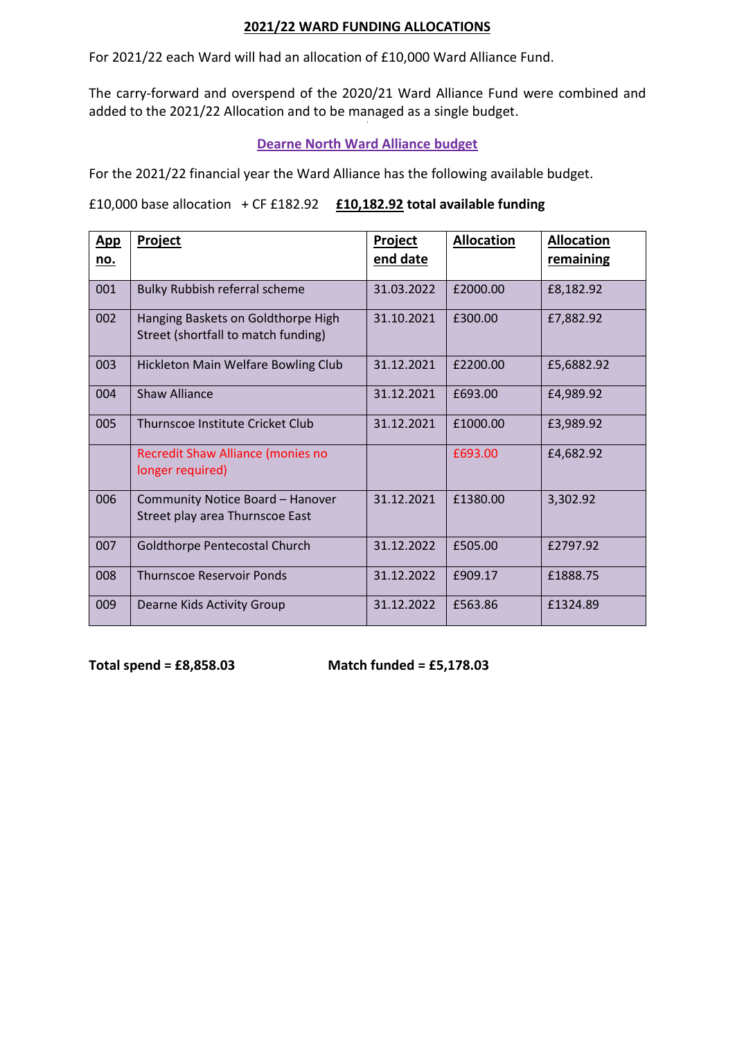## **2021/22 WARD FUNDING ALLOCATIONS**

For 2021/22 each Ward will had an allocation of £10,000 Ward Alliance Fund.

The carry-forward and overspend of the 2020/21 Ward Alliance Fund were combined and added to the 2021/22 Allocation and to be managed as a single budget.

## **Dearne North Ward Alliance budget**

For the 2021/22 financial year the Ward Alliance has the following available budget.

£10,000 base allocation + CF £182.92 **£10,182.92 total available funding**

| <b>App</b><br><u>no.</u> | Project                                                                   | Project<br><u>end date</u> | <b>Allocation</b> | <b>Allocation</b><br>remaining |
|--------------------------|---------------------------------------------------------------------------|----------------------------|-------------------|--------------------------------|
| 001                      | Bulky Rubbish referral scheme                                             | 31.03.2022                 | £2000.00          | £8,182.92                      |
| 002                      | Hanging Baskets on Goldthorpe High<br>Street (shortfall to match funding) | 31.10.2021                 | £300.00           | £7,882.92                      |
| 003                      | Hickleton Main Welfare Bowling Club                                       | 31.12.2021                 | £2200.00          | £5,6882.92                     |
| 004                      | <b>Shaw Alliance</b>                                                      | 31.12.2021                 | £693.00           | £4,989.92                      |
| 005                      | Thurnscoe Institute Cricket Club                                          | 31.12.2021                 | £1000.00          | £3,989.92                      |
|                          | Recredit Shaw Alliance (monies no<br>longer required)                     |                            | £693.00           | £4,682.92                      |
| 006                      | Community Notice Board - Hanover<br>Street play area Thurnscoe East       | 31.12.2021                 | £1380.00          | 3,302.92                       |
| 007                      | Goldthorpe Pentecostal Church                                             | 31.12.2022                 | £505.00           | £2797.92                       |
| 008                      | <b>Thurnscoe Reservoir Ponds</b>                                          | 31.12.2022                 | £909.17           | £1888.75                       |
| 009                      | Dearne Kids Activity Group                                                | 31.12.2022                 | £563.86           | £1324.89                       |

**Total spend = £8,858.03 Match funded = £5,178.03**